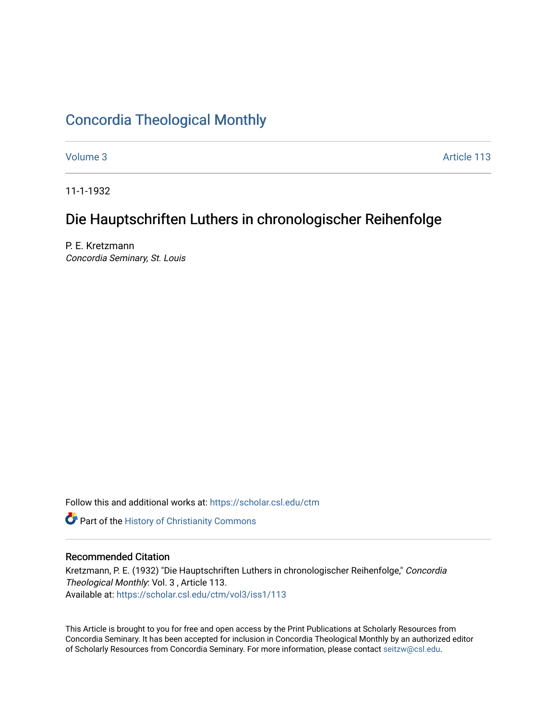## [Concordia Theological Monthly](https://scholar.csl.edu/ctm)

[Volume 3](https://scholar.csl.edu/ctm/vol3) Article 113

11-1-1932

# Die Hauptschriften Luthers in chronologischer Reihenfolge

P. E. Kretzmann Concordia Seminary, St. Louis

Follow this and additional works at: [https://scholar.csl.edu/ctm](https://scholar.csl.edu/ctm?utm_source=scholar.csl.edu%2Fctm%2Fvol3%2Fiss1%2F113&utm_medium=PDF&utm_campaign=PDFCoverPages)

**Part of the History of Christianity Commons** 

### Recommended Citation

Kretzmann, P. E. (1932) "Die Hauptschriften Luthers in chronologischer Reihenfolge," Concordia Theological Monthly: Vol. 3 , Article 113. Available at: [https://scholar.csl.edu/ctm/vol3/iss1/113](https://scholar.csl.edu/ctm/vol3/iss1/113?utm_source=scholar.csl.edu%2Fctm%2Fvol3%2Fiss1%2F113&utm_medium=PDF&utm_campaign=PDFCoverPages) 

This Article is brought to you for free and open access by the Print Publications at Scholarly Resources from Concordia Seminary. It has been accepted for inclusion in Concordia Theological Monthly by an authorized editor of Scholarly Resources from Concordia Seminary. For more information, please contact [seitzw@csl.edu](mailto:seitzw@csl.edu).